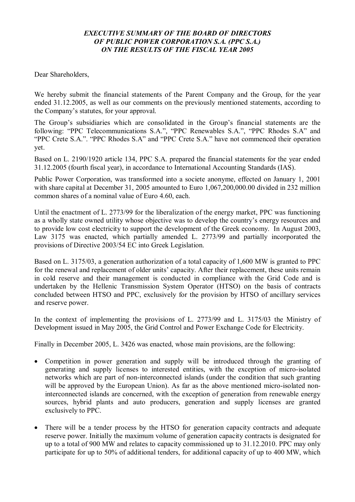### *EXECUTIVE SUMMARY OF THE BOARD OF DIRECTORS OF PUBLIC POWER CORPORATION S.A. (PPC S.A.) ON THE RESULTS OF THE FISCAL YEAR 2005*

Dear Shareholders,

We hereby submit the financial statements of the Parent Company and the Group, for the year ended 31.12.2005, as well as our comments on the previously mentioned statements, according to the Company's statutes, for your approval.

The Group's subsidiaries which are consolidated in the Group's financial statements are the following: "PPC Telecommunications S.A.", "PPC Renewables S.A.", "PPC Rhodes S.A" and "PPC Crete S.A.". "PPC Rhodes S.A" and "PPC Crete S.A." have not commenced their operation yet.

Based on L. 2190/1920 article 134, PPC S.A. prepared the financial statements for the year ended 31.12.2005 (fourth fiscal year), in accordance to International Accounting Standards (IAS).

Public Power Corporation, was transformed into a societe anonyme, effected on January 1, 2001 with share capital at December 31, 2005 amounted to Euro 1,067,200,000.00 divided in 232 million common shares of a nominal value of Euro 4.60, each.

Until the enactment of L. 2773/99 for the liberalization of the energy market, PPC was functioning as a wholly state owned utility whose objective was to develop the country's energy resources and to provide low cost electricity to support the development of the Greek economy. In August 2003, Law 3175 was enacted, which partially amended L. 2773/99 and partially incorporated the provisions of Directive 2003/54 ΕC into Greek Legislation.

Based on L. 3175/03, a generation authorization of a total capacity of 1,600 MW is granted to PPC for the renewal and replacement of older units' capacity. After their replacement, these units remain in cold reserve and their management is conducted in compliance with the Grid Code and is undertaken by the Hellenic Transmission System Operator (HTSO) on the basis of contracts concluded between HTSO and PPC, exclusively for the provision by HTSO of ancillary services and reserve power.

In the context of implementing the provisions of L. 2773/99 and L. 3175/03 the Ministry of Development issued in May 2005, the Grid Control and Power Exchange Code for Electricity.

Finally in December 2005, L. 3426 was enacted, whose main provisions, are the following:

- Competition in power generation and supply will be introduced through the granting of generating and supply licenses to interested entities, with the exception of micro-isolated networks which are part of non-interconnected islands (under the condition that such granting will be approved by the European Union). As far as the above mentioned micro-isolated noninterconnected islands are concerned, with the exception of generation from renewable energy sources, hybrid plants and auto producers, generation and supply licenses are granted exclusively to PPC.
- · There will be a tender process by the HTSO for generation capacity contracts and adequate reserve power. Initially the maximum volume of generation capacity contracts is designated for up to a total of 900 MW and relates to capacity commissioned up to 31.12.2010. PPC may only participate for up to 50% of additional tenders, for additional capacity of up to 400 MW, which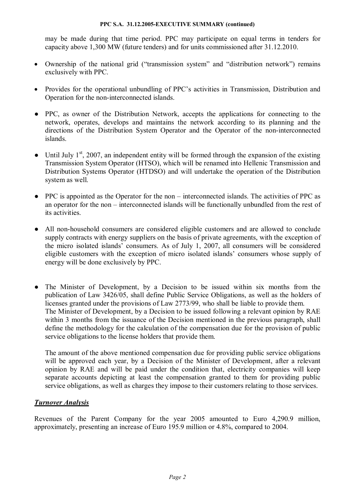may be made during that time period. PPC may participate on equal terms in tenders for capacity above 1,300 MW (future tenders) and for units commissioned after 31.12.2010.

- · Ownership of the national grid ("transmission system" and "distribution network") remains exclusively with PPC.
- · Provides for the operational unbundling of PPC's activities in Transmission, Distribution and Operation for the non-interconnected islands.
- PPC, as owner of the Distribution Network, accepts the applications for connecting to the network, operates, develops and maintains the network according to its planning and the directions of the Distribution System Operator and the Operator of the non-interconnected islands.
- $\bullet$  Until July 1<sup>st</sup>, 2007, an independent entity will be formed through the expansion of the existing Transmission System Operator (HTSO), which will be renamed into Hellenic Transmission and Distribution Systems Operator (HTDSO) and will undertake the operation of the Distribution system as well.
- PPC is appointed as the Operator for the non interconnected islands. The activities of PPC as an operator for the non – interconnected islands will be functionally unbundled from the rest of its activities.
- All non-household consumers are considered eligible customers and are allowed to conclude supply contracts with energy suppliers on the basis of private agreements, with the exception of the micro isolated islands' consumers. As of July 1, 2007, all consumers will be considered eligible customers with the exception of micro isolated islands' consumers whose supply of energy will be done exclusively by PPC.
- The Minister of Development, by a Decision to be issued within six months from the publication of Law 3426/05, shall define Public Service Obligations, as well as the holders of licenses granted under the provisions of Law 2773/99, who shall be liable to provide them. The Minister of Development, by a Decision to be issued following a relevant opinion by RAE within 3 months from the issuance of the Decision mentioned in the previous paragraph, shall define the methodology for the calculation of the compensation due for the provision of public service obligations to the license holders that provide them.

The amount of the above mentioned compensation due for providing public service obligations will be approved each year, by a Decision of the Minister of Development, after a relevant opinion by RAE and will be paid under the condition that, electricity companies will keep separate accounts depicting at least the compensation granted to them for providing public service obligations, as well as charges they impose to their customers relating to those services.

# *Turnover Analysis*

Revenues of the Parent Company for the year 2005 amounted to Euro 4,290.9 million, approximately, presenting an increase of Euro 195.9 million or 4.8%, compared to 2004.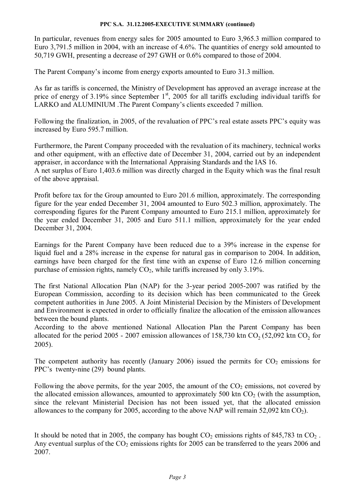In particular, revenues from energy sales for 2005 amounted to Euro 3,965.3 million compared to Euro 3,791.5 million in 2004, with an increase of 4.6%. The quantities of energy sold amounted to 50,719 GWH, presenting a decrease of 297 GWH or 0.6% compared to those of 2004.

The Parent Company's income from energy exports amounted to Euro 31.3 million.

As far as tariffs is concerned, the Ministry of Development has approved an average increase at the price of energy of 3.19% since September  $1<sup>st</sup>$ , 2005 for all tariffs excluding individual tariffs for LARKO and ALUMINIUM .The Parent Company's clients exceeded 7 million.

Following the finalization, in 2005, of the revaluation of PPC's real estate assets PPC's equity was increased by Euro 595.7 million.

Furthermore, the Parent Company proceeded with the revaluation of its machinery, technical works and other equipment, with an effective date of December 31, 2004, carried out by an independent appraiser, in accordance with the International Appraising Standards and the IAS 16.

A net surplus of Euro 1,403.6 million was directly charged in the Equity which was the final result of the above appraisal.

Profit before tax for the Group amounted to Euro 201.6 million, approximately. The corresponding figure for the year ended December 31, 2004 amounted to Euro 502.3 million, approximately. The corresponding figures for the Parent Company amounted to Euro 215.1 million, approximately for the year ended December 31, 2005 and Euro 511.1 million, approximately for the year ended December 31, 2004.

Earnings for the Parent Company have been reduced due to a 39% increase in the expense for liquid fuel and a 28% increase in the expense for natural gas in comparison to 2004. In addition, earnings have been charged for the first time with an expense of Euro 12.6 million concerning purchase of emission rights, namely  $CO<sub>2</sub>$ , while tariffs increased by only 3.19%.

The first National Allocation Plan (NAP) for the 3-year period 2005-2007 was ratified by the European Commission, according to its decision which has been communicated to the Greek competent authorities in June 2005. A Joint Ministerial Decision by the Ministers of Development and Environment is expected in order to officially finalize the allocation of the emission allowances between the bound plants.

According to the above mentioned National Allocation Plan the Parent Company has been allocated for the period 2005 - 2007 emission allowances of 158,730 ktn  $CO_2$  (52,092 ktn  $CO_2$  for 2005).

The competent authority has recently (January 2006) issued the permits for  $CO<sub>2</sub>$  emissions for PPC's twenty-nine (29) bound plants.

Following the above permits, for the year 2005, the amount of the  $CO<sub>2</sub>$  emissions, not covered by the allocated emission allowances, amounted to approximately 500 ktn  $CO<sub>2</sub>$  (with the assumption, since the relevant Ministerial Decision has not been issued yet, that the allocated emission allowances to the company for 2005, according to the above NAP will remain 52,092 ktn  $CO<sub>2</sub>$ ).

It should be noted that in 2005, the company has bought  $CO<sub>2</sub>$  emissions rights of 845,783 tn  $CO<sub>2</sub>$ . Any eventual surplus of the  $CO<sub>2</sub>$  emissions rights for 2005 can be transferred to the years 2006 and 2007.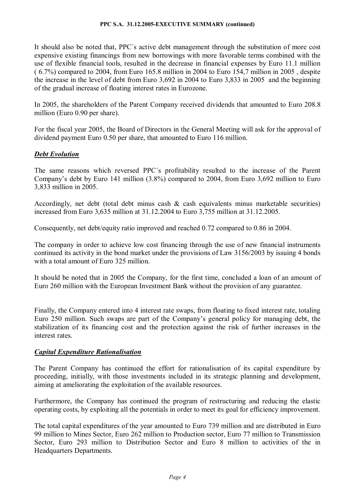It should also be noted that, PPC´s active debt management through the substitution of more cost expensive existing financings from new borrowings with more favorable terms combined with the use of flexible financial tools, resulted in the decrease in financial expenses by Euro 11.1 million ( 6.7%) compared to 2004, from Euro 165.8 million in 2004 to Euro 154,7 million in 2005 , despite the increase in the level of debt from Euro 3,692 in 2004 to Euro 3,833 in 2005 and the beginning of the gradual increase of floating interest rates in Eurozone.

In 2005, the shareholders of the Parent Company received dividends that amounted to Euro 208.8 million (Euro 0.90 per share).

For the fiscal year 2005, the Board of Directors in the General Meeting will ask for the approval of dividend payment Euro 0.50 per share, that amounted to Euro 116 million.

# *Debt Evolution*

The same reasons which reversed PPC´s profitability resulted to the increase of the Parent Company's debt by Euro 141 million (3.8%) compared to 2004, from Euro 3,692 million to Euro 3,833 million in 2005.

Accordingly, net debt (total debt minus cash & cash equivalents minus marketable securities) increased from Euro 3,635 million at 31.12.2004 to Euro 3,755 million at 31.12.2005.

Consequently, net debt/equity ratio improved and reached 0.72 compared to 0.86 in 2004.

The company in order to achieve low cost financing through the use of new financial instruments continued its activity in the bond market under the provisions of Law 3156/2003 by issuing 4 bonds with a total amount of Euro 325 million.

It should be noted that in 2005 the Company, for the first time, concluded a loan of an amount of Euro 260 million with the European Investment Bank without the provision of any guarantee.

Finally, the Company entered into 4 interest rate swaps, from floating to fixed interest rate, totaling Euro 250 million. Such swaps are part of the Company's general policy for managing debt, the stabilization of its financing cost and the protection against the risk of further increases in the interest rates.

# *Capital Expenditure Rationalisation*

The Parent Company has continued the effort for rationalisation of its capital expenditure by proceeding, initially, with those investments included in its strategic planning and development, aiming at ameliorating the exploitation of the available resources.

Furthermore, the Company has continued the program of restructuring and reducing the elastic operating costs, by exploiting all the potentials in order to meet its goal for efficiency improvement.

The total capital expenditures of the year amounted to Euro 739 million and are distributed in Euro 99 million to Mines Sector, Euro 262 million to Production sector, Euro 77 million to Transmission Sector, Euro 293 million to Distribution Sector and Euro 8 million to activities of the in Headquarters Departments.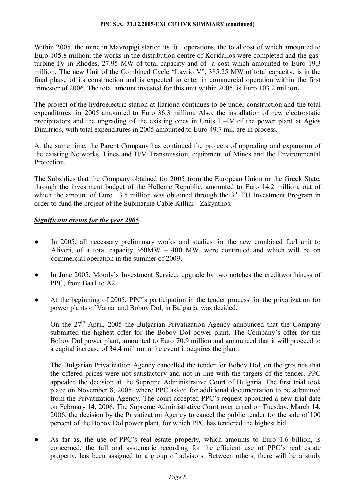Within 2005, the mine in Mavropigi started its full operations, the total cost of which amounted to Euro 105.8 million, the works in the distribution centre of Koridallos were completed and the gasturbine IV in Rhodes, 27.95 MW of total capacity and of a cost which amounted to Euro 19.3 million. The new Unit of the Combined Cycle "Lavrio V", 385.25 MW of total capacity, is in the final phase of its construction and is expected to enter in commercial operation within the first trimester of 2006. The total amount invested for this unit within 2005, is Euro 103.2 million**.** 

The project of the hydroelectric station at Ilariona continues to be under construction and the total expenditures for 2005 amounted to Euro 36.3 million. Also, the installation of new electrostatic precipitators and the upgrading of the existing ones in Units I –IV of the power plant at Agios Dimitrios, with total expenditures in 2005 amounted to Euro 49.7 mil. are in process.

At the same time, the Parent Company has continued the projects of upgrading and expansion of the existing Networks, Lines and H/V Transmission, equipment of Mines and the Environmental Protection.

The Subsidies that the Company obtained for 2005 from the European Union or the Greek State, through the investment budget of the Hellenic Republic, amounted to Euro 14.2 million, out of which the amount of Euro 13.5 million was obtained through the  $3<sup>rd</sup>$  EU Investment Program in order to fund the project of the Submarine Cable Killini - Zakynthos.

# *Significant events for the year 2005*

- In 2005, all necessary preliminary works and studies for the new combined fuel unit to Aliveri, of a total capacity 360MW – 400 MW, were continued and which will be on commercial operation in the summer of 2009.
- In June 2005, Moody's Investment Service, upgrade by two notches the creditworthiness of PPC, from Baa1 to A2.
- At the beginning of 2005, PPC's participation in the tender process for the privatization for power plants of Varna and Bobov Dol, in Bulgaria, was decided.

On the  $27<sup>th</sup>$  April, 2005 the Bulgarian Privatization Agency announced that the Company submitted the highest offer for the Bobov Dol power plant. The Company's offer for the Bobov Dol power plant, amounted to Euro 70.9 million and announced that it will proceed to a capital increase of 34.4 million in the event it acquires the plant.

The Bulgarian Privatization Agency cancelled the tender for Bobov Dol, on the grounds that the offered prices were not satisfactory and not in line with the targets of the tender. PPC appealed the decision at the Supreme Administrative Court of Bulgaria. The first trial took place on November 8, 2005, where PPC asked for additional documentation to be submitted from the Privatization Agency. The court accepted PPC's request appointed a new trial date on February 14, 2006. The Supreme Administrative Court overturned on Tuesday, March 14, 2006, the decision by the Privatization Agency to cancel the public tender for the sale of 100 percent of the Bobov Dol power plant, for which PPC has tendered the highest bid.

● As far as, the use of PPC's real estate property, which amounts to Euro 1.6 billion, is concerned, the full and systematic recording for the efficient use of PPC's real estate property, has been assigned to a group of advisors. Between others, there will be a study